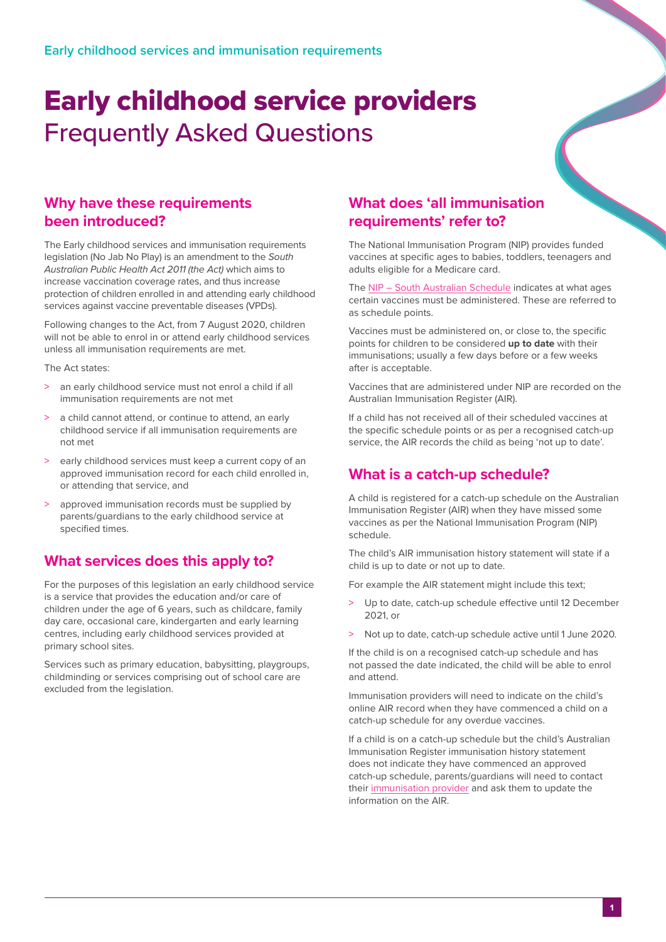# Early childhood service providers Frequently Asked Questions

### **Why have these requirements been introduced?**

The Early childhood services and immunisation requirements legislation (No Jab No Play) is an amendment to the *South Australian Public Health Act 2011 (the Act)* which aims to increase vaccination coverage rates, and thus increase protection of children enrolled in and attending early childhood services against vaccine preventable diseases (VPDs).

Following changes to the Act, from 7 August 2020, children will not be able to enrol in or attend early childhood services unless all immunisation requirements are met.

The Act states:

- > an early childhood service must not enrol a child if all immunisation requirements are not met
- a child cannot attend, or continue to attend, an early childhood service if all immunisation requirements are not met
- early childhood services must keep a current copy of an approved immunisation record for each child enrolled in, or attending that service, and
- > approved immunisation records must be supplied by parents/guardians to the early childhood service at specified times.

# **What services does this apply to?**

For the purposes of this legislation an early childhood service is a service that provides the education and/or care of children under the age of 6 years, such as childcare, family day care, occasional care, kindergarten and early learning centres, including early childhood services provided at primary school sites.

Services such as primary education, babysitting, playgroups, childminding or services comprising out of school care are excluded from the legislation.

### **What does 'all immunisation requirements' refer to?**

The National Immunisation Program (NIP) provides funded vaccines at specific ages to babies, toddlers, teenagers and adults eligible for a Medicare card.

The [NIP – South Australian Schedule](https://www.sahealth.sa.gov.au/wps/wcm/connect/public+content/sa+health+internet/conditions/immunisation/immunisation+programs/childhood+immunisation+program/childhood+immunisation+program) indicates at what ages certain vaccines must be administered. These are referred to as schedule points.

Vaccines must be administered on, or close to, the specific points for children to be considered **up to date** with their immunisations; usually a few days before or a few weeks after is acceptable.

Vaccines that are administered under NIP are recorded on the Australian Immunisation Register (AIR).

If a child has not received all of their scheduled vaccines at the specific schedule points or as per a recognised catch-up service, the AIR records the child as being 'not up to date'.

# **What is a catch-up schedule?**

A child is registered for a catch-up schedule on the Australian Immunisation Register (AIR) when they have missed some vaccines as per the National Immunisation Program (NIP) schedule.

The child's AIR immunisation history statement will state if a child is up to date or not up to date.

For example the AIR statement might include this text;

- Up to date, catch-up schedule effective until 12 December 2021, or
- > Not up to date, catch-up schedule active until 1 June 2020.

If the child is on a recognised catch-up schedule and has not passed the date indicated, the child will be able to enrol and attend.

Immunisation providers will need to indicate on the child's online AIR record when they have commenced a child on a catch-up schedule for any overdue vaccines.

If a child is on a catch-up schedule but the child's Australian Immunisation Register immunisation history statement does not indicate they have commenced an approved catch-up schedule, parents/guardians will need to contact their [immunisation provider](https://www.sahealth.sa.gov.au/wps/wcm/connect/public+content/sa+health+internet/services/primary+and+specialised+services/immunisation+services/immunisation+services) and ask them to update the information on the AIR.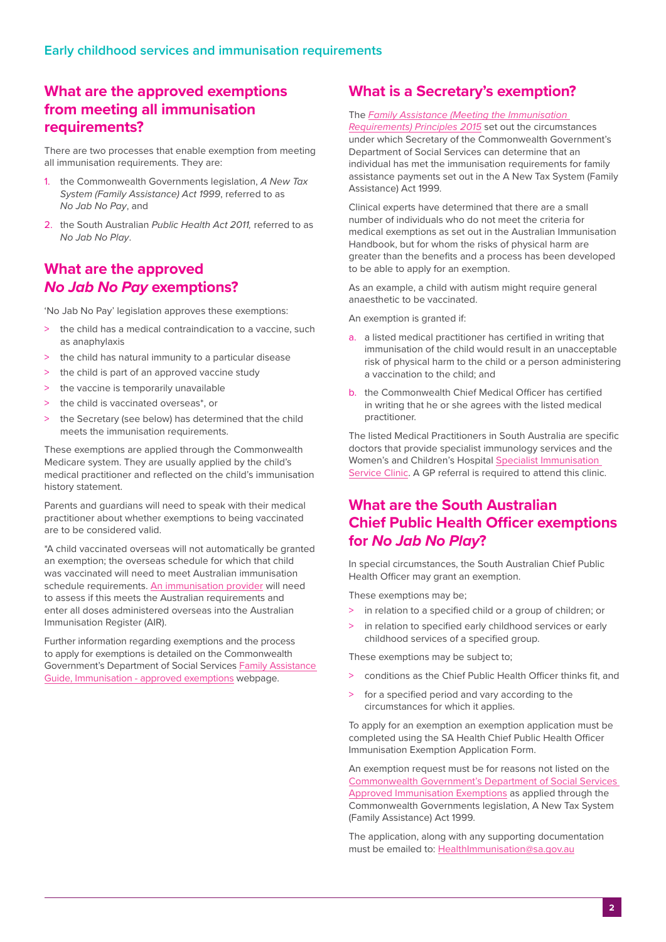#### **What are the approved exemptions from meeting all immunisation requirements?**

There are two processes that enable exemption from meeting all immunisation requirements. They are:

- 1. the Commonwealth Governments legislation, *A New Tax System (Family Assistance) Act 1999*, referred to as *No Jab No Pay*, and
- 2. the South Australian *Public Health Act 2011,* referred to as *No Jab No Play*.

#### **What are the approved**  *No Jab No Pay* **exemptions?**

'No Jab No Pay' legislation approves these exemptions:

- the child has a medical contraindication to a vaccine, such as anaphylaxis
- the child has natural immunity to a particular disease
- > the child is part of an approved vaccine study
- > the vaccine is temporarily unavailable
- > the child is vaccinated overseas\*, or
- > the Secretary (see below) has determined that the child meets the immunisation requirements.

These exemptions are applied through the Commonwealth Medicare system. They are usually applied by the child's medical practitioner and reflected on the child's immunisation history statement.

Parents and guardians will need to speak with their medical practitioner about whether exemptions to being vaccinated are to be considered valid.

\*A child vaccinated overseas will not automatically be granted an exemption; the overseas schedule for which that child was vaccinated will need to meet Australian immunisation schedule requirements. [An immunisation provider](https://www.sahealth.sa.gov.au/wps/wcm/connect/public+content/sa+health+internet/services/primary+and+specialised+services/immunisation+services/immunisation+services) will need to assess if this meets the Australian requirements and enter all doses administered overseas into the Australian Immunisation Register (AIR).

Further information regarding exemptions and the process to apply for exemptions is detailed on the Commonwealth Government's Department of Social Services [Family Assistance](https://guides.dss.gov.au/family-assistance-guide/2/1/3/40)  [Guide, Immunisation - approved exemptions](https://guides.dss.gov.au/family-assistance-guide/2/1/3/40) webpage.

#### **What is a Secretary's exemption?**

#### The *[Family Assistance \(Meeting the Immunisation](https://www.legislation.gov.au/Details/F2017C00671)*

*[Requirements\) Principles 2015](https://www.legislation.gov.au/Details/F2017C00671)* set out the circumstances under which Secretary of the Commonwealth Government's Department of Social Services can determine that an individual has met the immunisation requirements for family assistance payments set out in the A New Tax System (Family Assistance) Act 1999.

Clinical experts have determined that there are a small number of individuals who do not meet the criteria for medical exemptions as set out in the Australian Immunisation Handbook, but for whom the risks of physical harm are greater than the benefits and a process has been developed to be able to apply for an exemption.

As an example, a child with autism might require general anaesthetic to be vaccinated.

An exemption is granted if:

- a. a listed medical practitioner has certified in writing that immunisation of the child would result in an unacceptable risk of physical harm to the child or a person administering a vaccination to the child; and
- b. the Commonwealth Chief Medical Officer has certified in writing that he or she agrees with the listed medical practitioner.

The listed Medical Practitioners in South Australia are specific doctors that provide specialist immunology services and the Women's and Children's Hospital [Specialist Immunisation](https://www.sahealth.sa.gov.au/wps/wcm/connect/public+content/sa+health+internet/clinical+resources/clinical+programs+and+practice+guidelines/immunisation+for+health+professionals/referring+to+the+specialist+immunisation+service)  [Service Clinic.](https://www.sahealth.sa.gov.au/wps/wcm/connect/public+content/sa+health+internet/clinical+resources/clinical+programs+and+practice+guidelines/immunisation+for+health+professionals/referring+to+the+specialist+immunisation+service) A GP referral is required to attend this clinic.

#### **What are the South Australian Chief Public Health Officer exemptions for** *No Jab No Play***?**

In special circumstances, the South Australian Chief Public Health Officer may grant an exemption.

These exemptions may be;

- > in relation to a specified child or a group of children; or
- > in relation to specified early childhood services or early childhood services of a specified group.

These exemptions may be subject to;

- > conditions as the Chief Public Health Officer thinks fit, and
- for a specified period and vary according to the circumstances for which it applies.

To apply for an exemption an exemption application must be completed using the SA Health Chief Public Health Officer Immunisation Exemption Application Form.

An exemption request must be for reasons not listed on the [Commonwealth Government's Department of Social Services](http://)  [Approved Immunisation Exemptions](http://) as applied through the Commonwealth Governments legislation, A New Tax System (Family Assistance) Act 1999.

The application, along with any supporting documentation must be emailed to: [HealthImmunisation@sa.gov.au](mailto:HealthImmunisation%40sa.gov.au?subject=)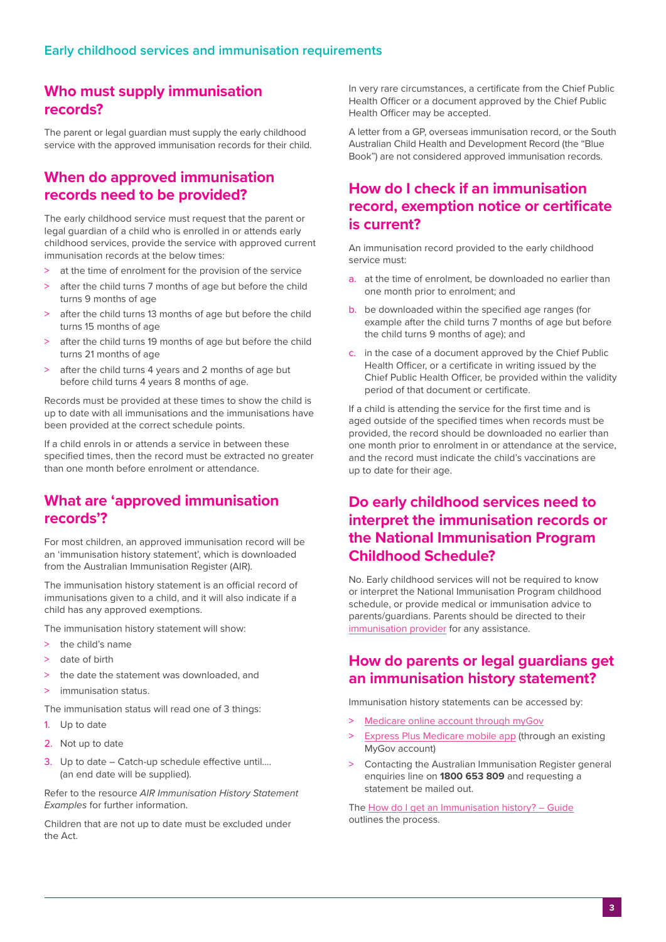#### **Who must supply immunisation records?**

The parent or legal guardian must supply the early childhood service with the approved immunisation records for their child.

#### **When do approved immunisation records need to be provided?**

The early childhood service must request that the parent or legal guardian of a child who is enrolled in or attends early childhood services, provide the service with approved current immunisation records at the below times:

- > at the time of enrolment for the provision of the service
- > after the child turns 7 months of age but before the child turns 9 months of age
- > after the child turns 13 months of age but before the child turns 15 months of age
- after the child turns 19 months of age but before the child turns 21 months of age
- after the child turns 4 years and 2 months of age but before child turns 4 years 8 months of age.

Records must be provided at these times to show the child is up to date with all immunisations and the immunisations have been provided at the correct schedule points.

If a child enrols in or attends a service in between these specified times, then the record must be extracted no greater than one month before enrolment or attendance.

#### **What are 'approved immunisation records'?**

For most children, an approved immunisation record will be an 'immunisation history statement', which is downloaded from the Australian Immunisation Register (AIR).

The immunisation history statement is an official record of immunisations given to a child, and it will also indicate if a child has any approved exemptions.

The immunisation history statement will show:

- > the child's name
- > date of birth
- the date the statement was downloaded, and
- > immunisation status.

The immunisation status will read one of 3 things:

- 1. Up to date
- 2. Not up to date
- 3. Up to date Catch-up schedule effective until…. (an end date will be supplied).

Refer to the resource *AIR Immunisation History Statement Examples* for further information.

Children that are not up to date must be excluded under the Act.

In very rare circumstances, a certificate from the Chief Public Health Officer or a document approved by the Chief Public Health Officer may be accepted.

A letter from a GP, overseas immunisation record, or the South Australian Child Health and Development Record (the "Blue Book") are not considered approved immunisation records.

#### **How do I check if an immunisation record, exemption notice or certificate is current?**

An immunisation record provided to the early childhood service must:

- a. at the time of enrolment, be downloaded no earlier than one month prior to enrolment; and
- b. be downloaded within the specified age ranges (for example after the child turns 7 months of age but before the child turns 9 months of age); and
- c. in the case of a document approved by the Chief Public Health Officer, or a certificate in writing issued by the Chief Public Health Officer, be provided within the validity period of that document or certificate.

If a child is attending the service for the first time and is aged outside of the specified times when records must be provided, the record should be downloaded no earlier than one month prior to enrolment in or attendance at the service, and the record must indicate the child's vaccinations are up to date for their age.

#### **Do early childhood services need to interpret the immunisation records or the National Immunisation Program Childhood Schedule?**

No. Early childhood services will not be required to know or interpret the National Immunisation Program childhood schedule, or provide medical or immunisation advice to parents/guardians. Parents should be directed to their [immunisation provider](https://www.sahealth.sa.gov.au/wps/wcm/connect/public+content/sa+health+internet/services/primary+and+specialised+services/immunisation+services/immunisation+services) for any assistance.

#### **How do parents or legal guardians get an immunisation history statement?**

Immunisation history statements can be accessed by:

- > [Medicare online account through myGov](https://www.servicesaustralia.gov.au/individuals/services/medicare/medicare-online-accounts)
- **[Express Plus Medicare mobile app](https://www.servicesaustralia.gov.au/individuals/services/medicare/express-plus-medicare-mobile-app) (through an existing** MyGov account)
- > Contacting the Australian Immunisation Register general enquiries line on **1800 653 809** and requesting a statement be mailed out.

The [How do I get an Immunisation history? – Guide](https://www.sahealth.sa.gov.au/wps/wcm/connect/4553b4be-fc21-408a-8d83-1da50ecafdae/19160.4+EarlyChildhood-HowTo-web+V2.pdf?MOD=AJPERES&CACHEID=ROOTWORKSPACE-4553b4be-fc21-408a-8d83-1da50ecafdae-n5jh-s5) outlines the process.